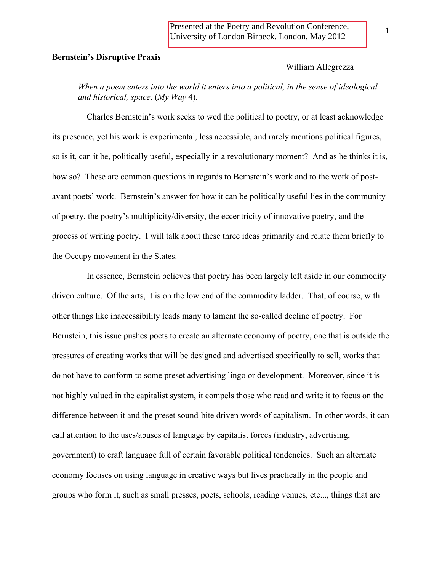Presented at the Poetry and Revolution Conference, University of London Birbeck. London, May 2012

## **Bernstein's Disruptive Praxis**

## William Allegrezza

*When a poem enters into the world it enters into a political, in the sense of ideological and historical, space*. (*My Way* 4).

Charles Bernstein's work seeks to wed the political to poetry, or at least acknowledge its presence, yet his work is experimental, less accessible, and rarely mentions political figures, so is it, can it be, politically useful, especially in a revolutionary moment? And as he thinks it is, how so? These are common questions in regards to Bernstein's work and to the work of postavant poets' work. Bernstein's answer for how it can be politically useful lies in the community of poetry, the poetry's multiplicity/diversity, the eccentricity of innovative poetry, and the process of writing poetry. I will talk about these three ideas primarily and relate them briefly to the Occupy movement in the States.

In essence, Bernstein believes that poetry has been largely left aside in our commodity driven culture. Of the arts, it is on the low end of the commodity ladder. That, of course, with other things like inaccessibility leads many to lament the so-called decline of poetry. For Bernstein, this issue pushes poets to create an alternate economy of poetry, one that is outside the pressures of creating works that will be designed and advertised specifically to sell, works that do not have to conform to some preset advertising lingo or development. Moreover, since it is not highly valued in the capitalist system, it compels those who read and write it to focus on the difference between it and the preset sound-bite driven words of capitalism. In other words, it can call attention to the uses/abuses of language by capitalist forces (industry, advertising, government) to craft language full of certain favorable political tendencies. Such an alternate economy focuses on using language in creative ways but lives practically in the people and groups who form it, such as small presses, poets, schools, reading venues, etc..., things that are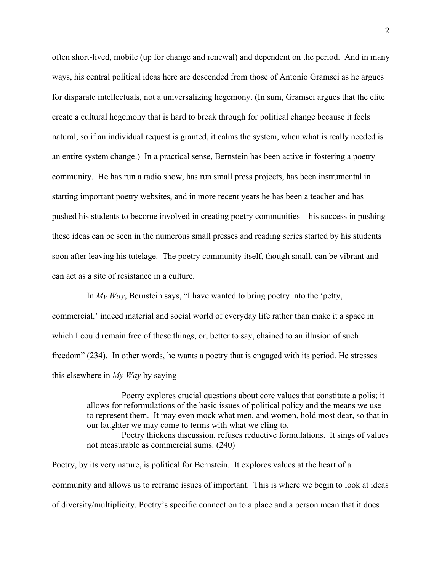often short-lived, mobile (up for change and renewal) and dependent on the period. And in many ways, his central political ideas here are descended from those of Antonio Gramsci as he argues for disparate intellectuals, not a universalizing hegemony. (In sum, Gramsci argues that the elite create a cultural hegemony that is hard to break through for political change because it feels natural, so if an individual request is granted, it calms the system, when what is really needed is an entire system change.) In a practical sense, Bernstein has been active in fostering a poetry community. He has run a radio show, has run small press projects, has been instrumental in starting important poetry websites, and in more recent years he has been a teacher and has pushed his students to become involved in creating poetry communities—his success in pushing these ideas can be seen in the numerous small presses and reading series started by his students soon after leaving his tutelage. The poetry community itself, though small, can be vibrant and can act as a site of resistance in a culture.

In *My Way*, Bernstein says, "I have wanted to bring poetry into the 'petty, commercial,' indeed material and social world of everyday life rather than make it a space in which I could remain free of these things, or, better to say, chained to an illusion of such freedom" (234). In other words, he wants a poetry that is engaged with its period. He stresses this elsewhere in *My Way* by saying

> Poetry explores crucial questions about core values that constitute a polis; it allows for reformulations of the basic issues of political policy and the means we use to represent them. It may even mock what men, and women, hold most dear, so that in our laughter we may come to terms with what we cling to.

> Poetry thickens discussion, refuses reductive formulations. It sings of values not measurable as commercial sums. (240)

Poetry, by its very nature, is political for Bernstein. It explores values at the heart of a community and allows us to reframe issues of important. This is where we begin to look at ideas of diversity/multiplicity. Poetry's specific connection to a place and a person mean that it does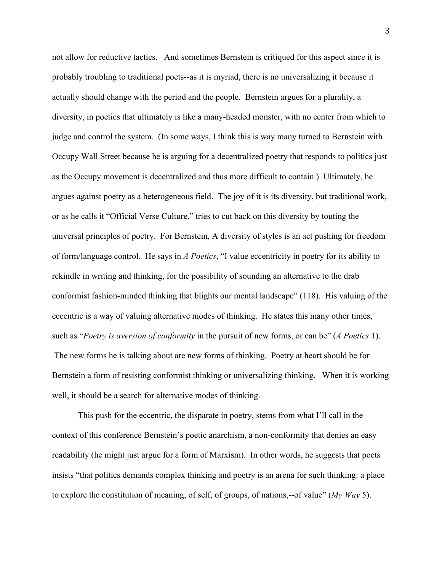not allow for reductive tactics. And sometimes Bernstein is critiqued for this aspect since it is probably troubling to traditional poets--as it is myriad, there is no universalizing it because it actually should change with the period and the people. Bernstein argues for a plurality, a diversity, in poetics that ultimately is like a many-headed monster, with no center from which to judge and control the system. (In some ways, I think this is way many turned to Bernstein with Occupy Wall Street because he is arguing for a decentralized poetry that responds to politics just as the Occupy movement is decentralized and thus more difficult to contain.) Ultimately, he argues against poetry as a heterogeneous field. The joy of it is its diversity, but traditional work, or as he calls it "Official Verse Culture," tries to cut back on this diversity by touting the universal principles of poetry. For Bernstein, A diversity of styles is an act pushing for freedom of form/language control. He says in *A Poetics*, "I value eccentricity in poetry for its ability to rekindle in writing and thinking, for the possibility of sounding an alternative to the drab conformist fashion-minded thinking that blights our mental landscape" (118). His valuing of the eccentric is a way of valuing alternative modes of thinking. He states this many other times, such as "*Poetry is aversion of conformity* in the pursuit of new forms, or can be" (*A Poetics* 1). The new forms he is talking about are new forms of thinking. Poetry at heart should be for Bernstein a form of resisting conformist thinking or universalizing thinking. When it is working well, it should be a search for alternative modes of thinking.

This push for the eccentric, the disparate in poetry, stems from what I'll call in the context of this conference Bernstein's poetic anarchism, a non-conformity that denies an easy readability (he might just argue for a form of Marxism). In other words, he suggests that poets insists "that politics demands complex thinking and poetry is an arena for such thinking: a place to explore the constitution of meaning, of self, of groups, of nations,--of value" (*My Way* 5).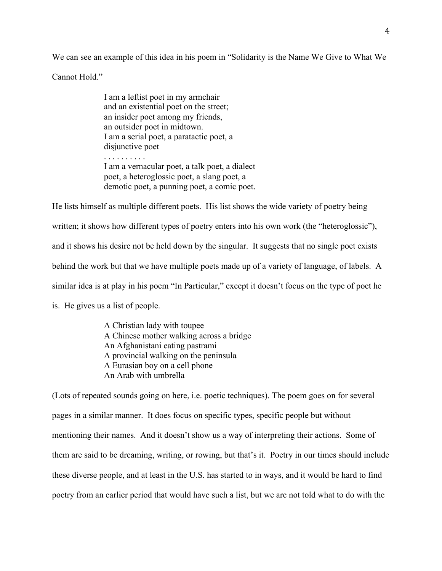We can see an example of this idea in his poem in "Solidarity is the Name We Give to What We

Cannot Hold."

I am a leftist poet in my armchair and an existential poet on the street; an insider poet among my friends, an outsider poet in midtown. I am a serial poet, a paratactic poet, a disjunctive poet . . . . . . . . . .

I am a vernacular poet, a talk poet, a dialect poet, a heteroglossic poet, a slang poet, a demotic poet, a punning poet, a comic poet.

He lists himself as multiple different poets. His list shows the wide variety of poetry being written; it shows how different types of poetry enters into his own work (the "heteroglossic"), and it shows his desire not be held down by the singular. It suggests that no single poet exists behind the work but that we have multiple poets made up of a variety of language, of labels. A similar idea is at play in his poem "In Particular," except it doesn't focus on the type of poet he is. He gives us a list of people.

> A Christian lady with toupee A Chinese mother walking across a bridge An Afghanistani eating pastrami A provincial walking on the peninsula A Eurasian boy on a cell phone An Arab with umbrella

(Lots of repeated sounds going on here, i.e. poetic techniques). The poem goes on for several pages in a similar manner. It does focus on specific types, specific people but without mentioning their names. And it doesn't show us a way of interpreting their actions. Some of them are said to be dreaming, writing, or rowing, but that's it. Poetry in our times should include these diverse people, and at least in the U.S. has started to in ways, and it would be hard to find poetry from an earlier period that would have such a list, but we are not told what to do with the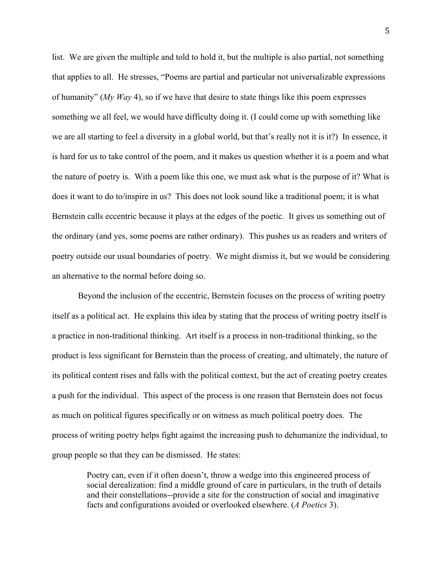list. We are given the multiple and told to hold it, but the multiple is also partial, not something that applies to all. He stresses, "Poems are partial and particular not universalizable expressions of humanity" (*My Way* 4), so if we have that desire to state things like this poem expresses something we all feel, we would have difficulty doing it. (I could come up with something like we are all starting to feel a diversity in a global world, but that's really not it is it?) In essence, it is hard for us to take control of the poem, and it makes us question whether it is a poem and what the nature of poetry is. With a poem like this one, we must ask what is the purpose of it? What is does it want to do to/inspire in us? This does not look sound like a traditional poem; it is what Bernstein calls eccentric because it plays at the edges of the poetic. It gives us something out of the ordinary (and yes, some poems are rather ordinary). This pushes us as readers and writers of poetry outside our usual boundaries of poetry. We might dismiss it, but we would be considering an alternative to the normal before doing so.

Beyond the inclusion of the eccentric, Bernstein focuses on the process of writing poetry itself as a political act. He explains this idea by stating that the process of writing poetry itself is a practice in non-traditional thinking. Art itself is a process in non-traditional thinking, so the product is less significant for Bernstein than the process of creating, and ultimately, the nature of its political content rises and falls with the political context, but the act of creating poetry creates a push for the individual. This aspect of the process is one reason that Bernstein does not focus as much on political figures specifically or on witness as much political poetry does. The process of writing poetry helps fight against the increasing push to dehumanize the individual, to group people so that they can be dismissed. He states:

> Poetry can, even if it often doesn't, throw a wedge into this engineered process of social derealization: find a middle ground of care in particulars, in the truth of details and their constellations--provide a site for the construction of social and imaginative facts and configurations avoided or overlooked elsewhere. (*A Poetics* 3).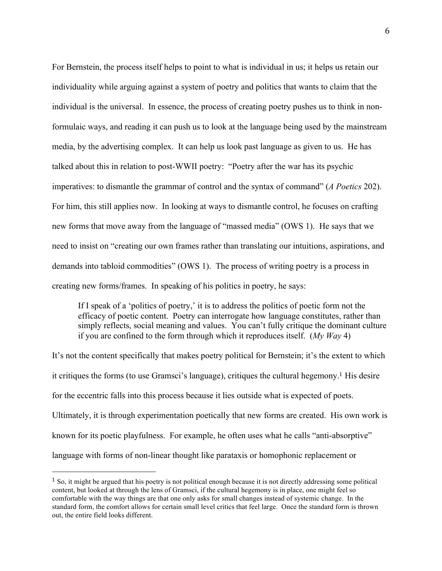For Bernstein, the process itself helps to point to what is individual in us; it helps us retain our individuality while arguing against a system of poetry and politics that wants to claim that the individual is the universal. In essence, the process of creating poetry pushes us to think in nonformulaic ways, and reading it can push us to look at the language being used by the mainstream media, by the advertising complex. It can help us look past language as given to us. He has talked about this in relation to post-WWII poetry: "Poetry after the war has its psychic imperatives: to dismantle the grammar of control and the syntax of command" (*A Poetics* 202). For him, this still applies now. In looking at ways to dismantle control, he focuses on crafting new forms that move away from the language of "massed media" (OWS 1). He says that we need to insist on "creating our own frames rather than translating our intuitions, aspirations, and demands into tabloid commodities" (OWS 1). The process of writing poetry is a process in creating new forms/frames. In speaking of his politics in poetry, he says:

If I speak of a 'politics of poetry,' it is to address the politics of poetic form not the efficacy of poetic content. Poetry can interrogate how language constitutes, rather than simply reflects, social meaning and values. You can't fully critique the dominant culture if you are confined to the form through which it reproduces itself. (*My Way* 4)

It's not the content specifically that makes poetry political for Bernstein; it's the extent to which it critiques the forms (to use Gramsci's language), critiques the cultural hegemony.1 His desire for the eccentric falls into this process because it lies outside what is expected of poets. Ultimately, it is through experimentation poetically that new forms are created. His own work is known for its poetic playfulness. For example, he often uses what he calls "anti-absorptive" language with forms of non-linear thought like parataxis or homophonic replacement or

"""""""""""""""""""""""""""""""""""""""""""""""""""""""

<sup>&</sup>lt;sup>1</sup> So, it might be argued that his poetry is not political enough because it is not directly addressing some political content, but looked at through the lens of Gramsci, if the cultural hegemony is in place, one might feel so comfortable with the way things are that one only asks for small changes instead of systemic change. In the standard form, the comfort allows for certain small level critics that feel large. Once the standard form is thrown out, the entire field looks different.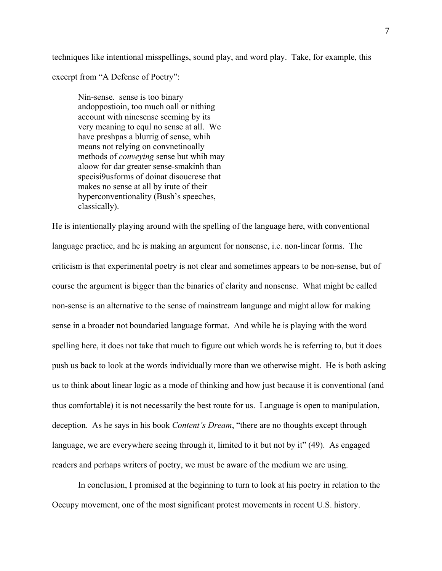techniques like intentional misspellings, sound play, and word play. Take, for example, this

excerpt from "A Defense of Poetry":

Nin-sense. sense is too binary andoppostioin, too much oall or nithing account with ninesense seeming by its very meaning to equl no sense at all. We have preshpas a blurrig of sense, whih means not relying on convnetinoally methods of *conveying* sense but whih may aloow for dar greater sense-smakinh than specisi9usforms of doinat disoucrese that makes no sense at all by irute of their hyperconventionality (Bush's speeches, classically).

He is intentionally playing around with the spelling of the language here, with conventional language practice, and he is making an argument for nonsense, i.e. non-linear forms. The criticism is that experimental poetry is not clear and sometimes appears to be non-sense, but of course the argument is bigger than the binaries of clarity and nonsense. What might be called non-sense is an alternative to the sense of mainstream language and might allow for making sense in a broader not boundaried language format. And while he is playing with the word spelling here, it does not take that much to figure out which words he is referring to, but it does push us back to look at the words individually more than we otherwise might. He is both asking us to think about linear logic as a mode of thinking and how just because it is conventional (and thus comfortable) it is not necessarily the best route for us. Language is open to manipulation, deception. As he says in his book *Content's Dream*, "there are no thoughts except through language, we are everywhere seeing through it, limited to it but not by it" (49). As engaged readers and perhaps writers of poetry, we must be aware of the medium we are using.

In conclusion, I promised at the beginning to turn to look at his poetry in relation to the Occupy movement, one of the most significant protest movements in recent U.S. history.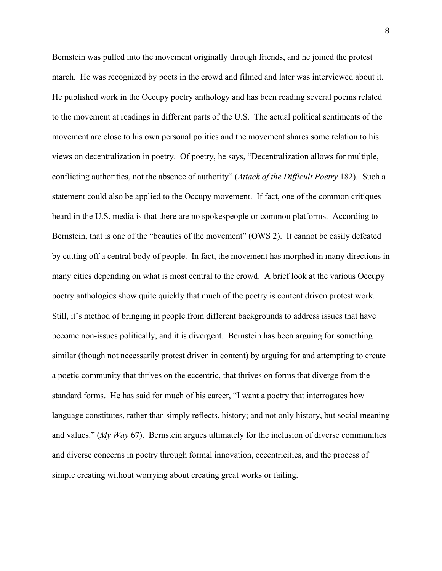Bernstein was pulled into the movement originally through friends, and he joined the protest march. He was recognized by poets in the crowd and filmed and later was interviewed about it. He published work in the Occupy poetry anthology and has been reading several poems related to the movement at readings in different parts of the U.S. The actual political sentiments of the movement are close to his own personal politics and the movement shares some relation to his views on decentralization in poetry. Of poetry, he says, "Decentralization allows for multiple, conflicting authorities, not the absence of authority" (*Attack of the Difficult Poetry* 182). Such a statement could also be applied to the Occupy movement. If fact, one of the common critiques heard in the U.S. media is that there are no spokespeople or common platforms. According to Bernstein, that is one of the "beauties of the movement" (OWS 2). It cannot be easily defeated by cutting off a central body of people. In fact, the movement has morphed in many directions in many cities depending on what is most central to the crowd. A brief look at the various Occupy poetry anthologies show quite quickly that much of the poetry is content driven protest work. Still, it's method of bringing in people from different backgrounds to address issues that have become non-issues politically, and it is divergent. Bernstein has been arguing for something similar (though not necessarily protest driven in content) by arguing for and attempting to create a poetic community that thrives on the eccentric, that thrives on forms that diverge from the standard forms. He has said for much of his career, "I want a poetry that interrogates how language constitutes, rather than simply reflects, history; and not only history, but social meaning and values." (*My Way* 67). Bernstein argues ultimately for the inclusion of diverse communities and diverse concerns in poetry through formal innovation, eccentricities, and the process of simple creating without worrying about creating great works or failing.